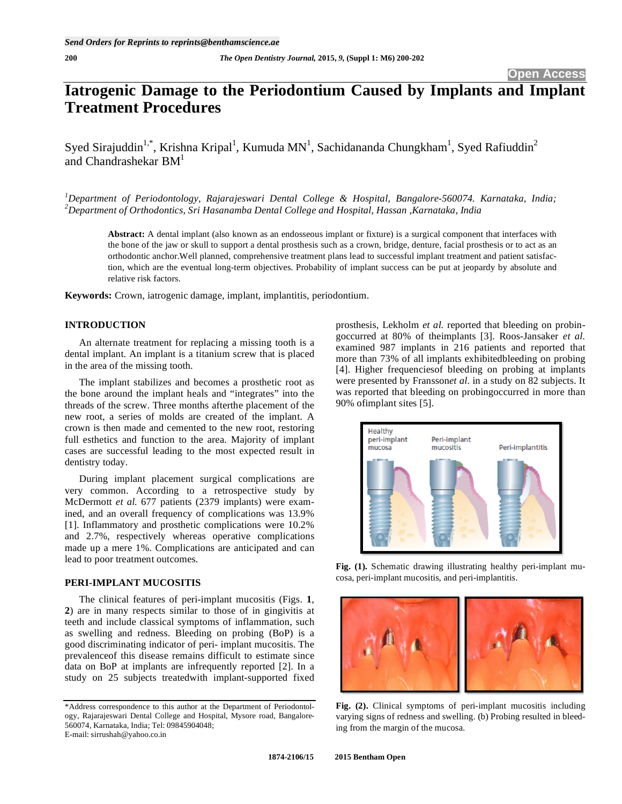# **Iatrogenic Damage to the Periodontium Caused by Implants and Implant Treatment Procedures**

Syed Sirajuddin<sup>1,\*</sup>, Krishna Kripal<sup>1</sup>, Kumuda MN<sup>1</sup>, Sachidananda Chungkham<sup>1</sup>, Syed Rafiuddin<sup>2</sup> and Chandrashekar  $BM<sup>1</sup>$ 

*1 Department of Periodontology, Rajarajeswari Dental College & Hospital, Bangalore-560074. Karnataka, India; 2 Department of Orthodontics, Sri Hasanamba Dental College and Hospital, Hassan ,Karnataka, India* 

**Abstract:** A dental implant (also known as an endosseous implant or fixture) is a surgical component that interfaces with the bone of the jaw or skull to support a dental prosthesis such as a crown, bridge, denture, facial prosthesis or to act as an orthodontic anchor.Well planned, comprehensive treatment plans lead to successful implant treatment and patient satisfaction, which are the eventual long-term objectives. Probability of implant success can be put at jeopardy by absolute and relative risk factors.

**Keywords:** Crown, iatrogenic damage, implant, implantitis, periodontium.

# **INTRODUCTION**

An alternate treatment for replacing a missing tooth is a dental implant. An implant is a titanium screw that is placed in the area of the missing tooth.

The implant stabilizes and becomes a prosthetic root as the bone around the implant heals and "integrates" into the threads of the screw. Three months afterthe placement of the new root, a series of molds are created of the implant. A crown is then made and cemented to the new root, restoring full esthetics and function to the area. Majority of implant cases are successful leading to the most expected result in dentistry today.

During implant placement surgical complications are very common. According to a retrospective study by McDermott *et al.* 677 patients (2379 implants) were examined, and an overall frequency of complications was 13.9% [1]. Inflammatory and prosthetic complications were 10.2% and 2.7%, respectively whereas operative complications made up a mere 1%. Complications are anticipated and can lead to poor treatment outcomes.

# **PERI-IMPLANT MUCOSITIS**

The clinical features of peri-implant mucositis (Figs. **1**, **2**) are in many respects similar to those of in gingivitis at teeth and include classical symptoms of inflammation, such as swelling and redness. Bleeding on probing (BoP) is a good discriminating indicator of peri- implant mucositis. The prevalenceof this disease remains difficult to estimate since data on BoP at implants are infrequently reported [2]. In a study on 25 subjects treatedwith implant-supported fixed prosthesis, Lekholm *et al.* reported that bleeding on probingoccurred at 80% of theimplants [3]. Roos-Jansaker *et al.*  examined 987 implants in 216 patients and reported that more than 73% of all implants exhibitedbleeding on probing [4]. Higher frequenciesof bleeding on probing at implants were presented by Fransson*et al.* in a study on 82 subjects. It was reported that bleeding on probingoccurred in more than 90% ofimplant sites [5].



**Fig. (1).** Schematic drawing illustrating healthy peri-implant mucosa, peri-implant mucositis, and peri-implantitis.



Fig. (2). Clinical symptoms of peri-implant mucositis including varying signs of redness and swelling. (b) Probing resulted in bleeding from the margin of the mucosa.

<sup>\*</sup>Address correspondence to this author at the Department of Periodontology, Rajarajeswari Dental College and Hospital, Mysore road, Bangalore-560074, Karnataka, India; Tel: 09845904048; E-mail: sirrushah@yahoo.co.in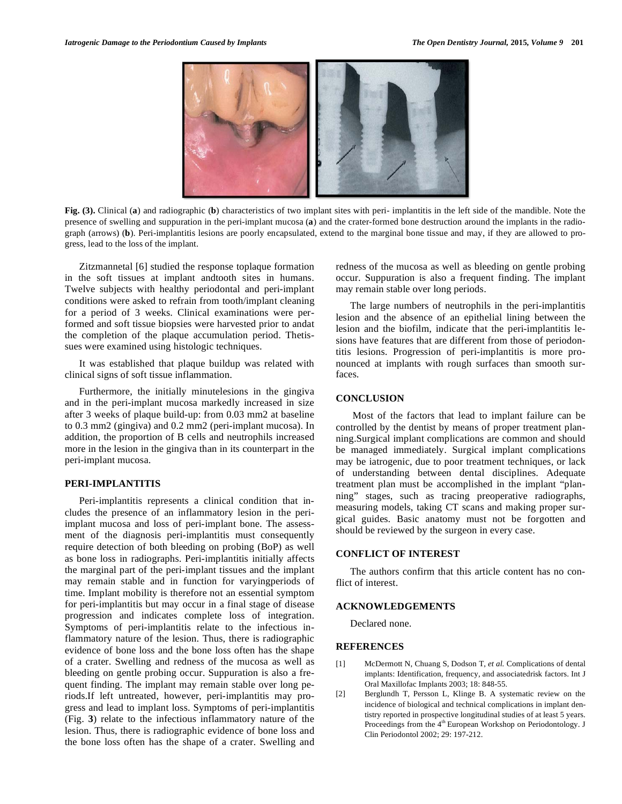

**Fig. (3).** Clinical (**a**) and radiographic (**b**) characteristics of two implant sites with peri- implantitis in the left side of the mandible. Note the presence of swelling and suppuration in the peri-implant mucosa (**a**) and the crater-formed bone destruction around the implants in the radiograph (arrows) (**b**). Peri-implantitis lesions are poorly encapsulated, extend to the marginal bone tissue and may, if they are allowed to progress, lead to the loss of the implant.

Zitzmannetal [6] studied the response toplaque formation in the soft tissues at implant andtooth sites in humans. Twelve subjects with healthy periodontal and peri-implant conditions were asked to refrain from tooth/implant cleaning for a period of 3 weeks. Clinical examinations were performed and soft tissue biopsies were harvested prior to andat the completion of the plaque accumulation period. Thetissues were examined using histologic techniques.

It was established that plaque buildup was related with clinical signs of soft tissue inflammation.

Furthermore, the initially minutelesions in the gingiva and in the peri-implant mucosa markedly increased in size after 3 weeks of plaque build-up: from 0.03 mm2 at baseline to 0.3 mm2 (gingiva) and 0.2 mm2 (peri-implant mucosa). In addition, the proportion of B cells and neutrophils increased more in the lesion in the gingiva than in its counterpart in the peri-implant mucosa.

### **PERI-IMPLANTITIS**

Peri-implantitis represents a clinical condition that includes the presence of an inflammatory lesion in the periimplant mucosa and loss of peri-implant bone. The assessment of the diagnosis peri-implantitis must consequently require detection of both bleeding on probing (BoP) as well as bone loss in radiographs. Peri-implantitis initially affects the marginal part of the peri-implant tissues and the implant may remain stable and in function for varyingperiods of time. Implant mobility is therefore not an essential symptom for peri-implantitis but may occur in a final stage of disease progression and indicates complete loss of integration. Symptoms of peri-implantitis relate to the infectious inflammatory nature of the lesion. Thus, there is radiographic evidence of bone loss and the bone loss often has the shape of a crater. Swelling and redness of the mucosa as well as bleeding on gentle probing occur. Suppuration is also a frequent finding. The implant may remain stable over long periods.If left untreated, however, peri-implantitis may progress and lead to implant loss. Symptoms of peri-implantitis (Fig. **3**) relate to the infectious inflammatory nature of the lesion. Thus, there is radiographic evidence of bone loss and the bone loss often has the shape of a crater. Swelling and redness of the mucosa as well as bleeding on gentle probing occur. Suppuration is also a frequent finding. The implant may remain stable over long periods.

The large numbers of neutrophils in the peri-implantitis lesion and the absence of an epithelial lining between the lesion and the biofilm, indicate that the peri-implantitis lesions have features that are different from those of periodontitis lesions. Progression of peri-implantitis is more pronounced at implants with rough surfaces than smooth surfaces.

# **CONCLUSION**

Most of the factors that lead to implant failure can be controlled by the dentist by means of proper treatment planning.Surgical implant complications are common and should be managed immediately. Surgical implant complications may be iatrogenic, due to poor treatment techniques, or lack of understanding between dental disciplines. Adequate treatment plan must be accomplished in the implant "planning" stages, such as tracing preoperative radiographs, measuring models, taking CT scans and making proper surgical guides. Basic anatomy must not be forgotten and should be reviewed by the surgeon in every case.

## **CONFLICT OF INTEREST**

The authors confirm that this article content has no conflict of interest.

### **ACKNOWLEDGEMENTS**

Declared none.

#### **REFERENCES**

- [1] McDermott N, Chuang S, Dodson T, *et al.* Complications of dental implants: Identification, frequency, and associatedrisk factors. Int J Oral Maxillofac Implants 2003; 18: 848-55.
- [2] Berglundh T, Persson L, Klinge B. A systematic review on the incidence of biological and technical complications in implant dentistry reported in prospective longitudinal studies of at least 5 years. Proceedings from the 4<sup>th</sup> European Workshop on Periodontology. J Clin Periodontol 2002; 29: 197-212.